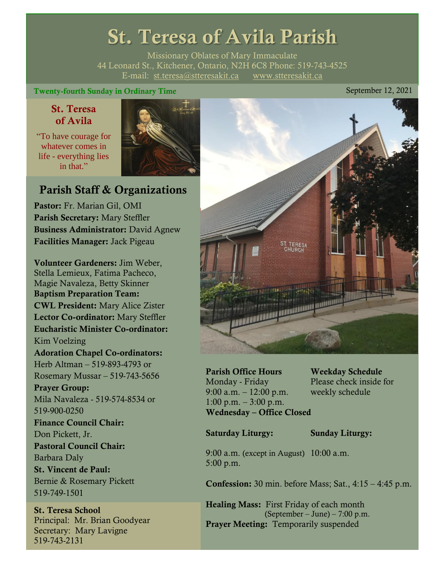## St. Teresa of Avila Parish

Missionary Oblates of Mary Immaculate 44 Leonard St., Kitchener, Ontario, N2H 6C8 Phone: 519-743-4525 E-mail: [st.teresa@stteresakit.ca](mailto:st.teresa@stteresakit.ca) [www.stteresakit.ca](http://www.stteresakit.ca/)

#### Twenty-fourth Sunday in Ordinary Time September 12, 2021

#### St. Teresa of Avila

"To have courage for whatever comes in life - everything lies in that"



### Parish Staff & Organizations

Pastor: Fr. Marian Gil, OMI Parish Secretary: Mary Steffler Business Administrator: David Agnew Facilities Manager: Jack Pigeau

Volunteer Gardeners: Jim Weber, Stella Lemieux, Fatima Pacheco, Magie Navaleza, Betty Skinner Baptism Preparation Team: CWL President: Mary Alice Zister Lector Co-ordinator: Mary Steffler Eucharistic Minister Co-ordinator: Kim Voelzing Adoration Chapel Co-ordinators: Herb Altman – 519-893-4793 or Rosemary Mussar – 519-743-5656 Prayer Group: Mila Navaleza - 519-574-8534 or 519-900-0250 Finance Council Chair: Don Pickett, Jr. Pastoral Council Chair: Barbara Daly St. Vincent de Paul: Bernie & Rosemary Pickett 519-749-1501

St. Teresa School Principal: Mr. Brian Goodyear Secretary: Mary Lavigne 519-743-2131



Parish Office Hours Weekday Schedule Monday - Friday Please check inside for 9:00 a.m. – 12:00 p.m. weekly schedule  $1:00 \text{ p.m.} - 3:00 \text{ p.m.}$ Wednesday – Office Closed

Saturday Liturgy: Sunday Liturgy:

9:00 a.m. (except in August) 10:00 a.m. 5:00 p.m.

Confession: 30 min. before Mass; Sat., 4:15 – 4:45 p.m.

Healing Mass: First Friday of each month (September – June) – 7:00 p.m. Prayer Meeting: Temporarily suspended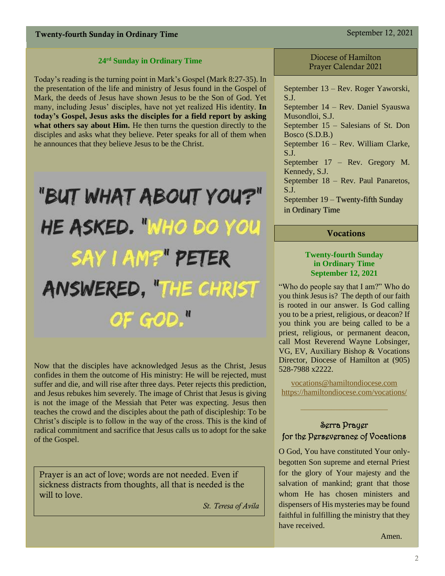#### Twenty-fourth Sunday in Ordinary Time September 12, 2021

#### **24 rd Sunday in Ordinary Time**

Today's reading is the turning point in Mark's Gospel (Mark 8:27-35). In the presentation of the life and ministry of Jesus found in the Gospel of Mark, the deeds of Jesus have shown Jesus to be the Son of God. Yet many, including Jesus' disciples, have not yet realized His identity. **In today's Gospel, Jesus asks the disciples for a field report by asking what others say about Him.** He then turns the question directly to the disciples and asks what they believe. Peter speaks for all of them when he announces that they believe Jesus to be the Christ.

# "BUT WHAT ABOUT YOU?" HE ASKED. "WHO DO YOU SAY I AM?" PETER ANSWERED, "THE CHRIST OF GOD."

Now that the disciples have acknowledged Jesus as the Christ, Jesus confides in them the outcome of His ministry: He will be rejected, must suffer and die, and will rise after three days. Peter rejects this prediction, and Jesus rebukes him severely. The image of Christ that Jesus is giving is not the image of the Messiah that Peter was expecting. Jesus then teaches the crowd and the disciples about the path of discipleship: To be Christ's disciple is to follow in the way of the cross. This is the kind of radical commitment and sacrifice that Jesus calls us to adopt for the sake of the Gospel.

Prayer is an act of love; words are not needed. Even if sickness distracts from thoughts, all that is needed is the will to love.

 *St. Teresa of Avila*

Diocese of Hamilton Prayer Calendar 2021

September 13 – Rev. Roger Yaworski, S.J. September 14 – Rev. Daniel Syauswa Musondloi, S.J. September 15 – Salesians of St. Don Bosco (S.D.B.) September 16 – Rev. William Clarke, S.J. September 17 – Rev. Gregory M. Kennedy, S.J. September 18 – Rev. Paul Panaretos, S.J. September 19 – Twenty-fifth Sunday in Ordinary Time

#### Vocations

#### **Twenty-fourth Sunday in Ordinary Time September 12, 2021**

"Who do people say that I am?" Who do you think Jesus is? The depth of our faith is rooted in our answer. Is God calling you to be a priest, religious, or deacon? If you think you are being called to be a priest, religious, or permanent deacon, call Most Reverend Wayne Lobsinger, VG, EV, Auxiliary Bishop & Vocations Director, Diocese of Hamilton at (905) 528-7988 x2222.

[vocations@hamiltondiocese.com](mailto:vocations@hamiltondiocese.com)  <https://hamiltondiocese.com/vocations/>

 $\_$ 

#### Serra Prayer for the Perseverance of Vocations

O God, You have constituted Your onlybegotten Son supreme and eternal Priest for the glory of Your majesty and the salvation of mankind; grant that those whom He has chosen ministers and dispensers of His mysteries may be found faithful in fulfilling the ministry that they have received.

Amen.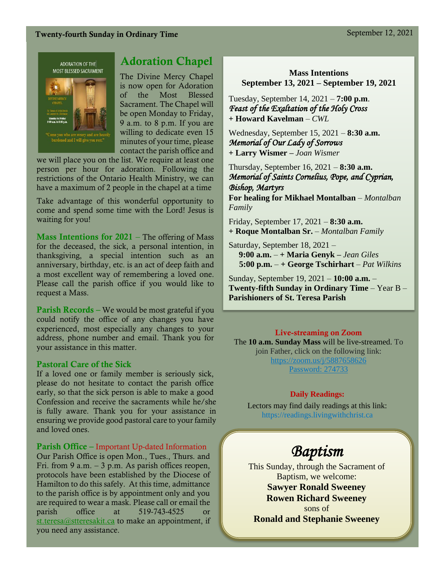#### Twenty-fourth Sunday in Ordinary Time September 12, 2021

ADORATION OF THE MOST BLESSED SACRAMENT



### Adoration Chapel

The Divine Mercy Chapel is now open for Adoration of the Most Blessed Sacrament. The Chapel will be open Monday to Friday, 9 a.m. to 8 p.m. If you are willing to dedicate even 15 minutes of your time, please contact the parish office and

we will place you on the list. We require at least one person per hour for adoration. Following the restrictions of the Ontario Health Ministry, we can have a maximum of 2 people in the chapel at a time

Take advantage of this wonderful opportunity to come and spend some time with the Lord! Jesus is waiting for you!

**Mass Intentions for 2021** – The offering of Mass for the deceased, the sick, a personal intention, in thanksgiving, a special intention such as an anniversary, birthday, etc. is an act of deep faith and a most excellent way of remembering a loved one. Please call the parish office if you would like to request a Mass.

Parish Records – We would be most grateful if you could notify the office of any changes you have experienced, most especially any changes to your address, phone number and email. Thank you for your assistance in this matter.

#### Pastoral Care of the Sick

If a loved one or family member is seriously sick, please do not hesitate to contact the parish office early, so that the sick person is able to make a good Confession and receive the sacraments while he/she is fully aware. Thank you for your assistance in ensuring we provide good pastoral care to your family and loved ones.

#### Parish Office – Important Up-dated Information

Our Parish Office is open Mon., Tues., Thurs. and Fri. from 9 a.m.  $-3$  p.m. As parish offices reopen, protocols have been established by the Diocese of Hamilton to do this safely. At this time, admittance to the parish office is by appointment only and you are required to wear a mask. Please call or email the parish office at 519-743-4525 or [st.teresa@stteresakit.ca](mailto:st.teresa@stteresakit.ca) to make an appointment, if you need any assistance.

**Mass Intentions September 13, 2021 – September 19, 2021**

Tuesday, September 14, 2021 – **7:00 p.m**. *Feast of the Exaltation of the Holy Cross*  **+ Howard Kavelman** *– CWL*

Wednesday, September 15, 2021 – **8:30 a.m.** *Memorial of Our Lady of Sorrows* **+ Larry Wismer –** *Joan Wismer*

Thursday, September 16, 2021 – **8:30 a.m.** *Memorial of Saints Cornelius, Pope, and Cyprian, Bishop, Martyrs* 

**For healing for Mikhael Montalban** – *Montalban Family*

Friday, September 17, 2021 – **8:30 a.m. + Roque Montalban Sr.** – *Montalban Family*

Saturday, September 18, 2021 – **9:00 a.m.** – **+ Maria Genyk –** *Jean Giles* **5:00 p.m.** – **+ George Tschirhart** – *Pat Wilkins*

Sunday, September 19, 2021 – **10:00 a.m.** – **Twenty-fifth Sunday in Ordinary Time** – Year B – **Parishioners of St. Teresa Parish** 

#### Live-streaming on Zoom

The **10 a.m. Sunday Mass** will be live-streamed. To join Father, click on the following link: <https://zoom.us/j/5887658626> Password: 274733

#### **Daily Readings:**

Lectors may find daily readings at this link: https://readings.livingwithchrist.ca

## *Baptism*

This Sunday, through the Sacrament of Baptism, we welcome: **Sawyer Ronald Sweeney Rowen Richard Sweeney** sons of **Ronald and Stephanie Sweeney**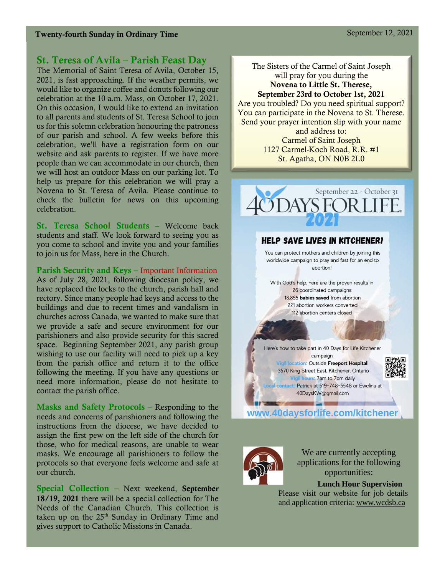#### St. Teresa of Avila – Parish Feast Day

The Memorial of Saint Teresa of Avila, October 15, 2021, is fast approaching. If the weather permits, we would like to organize coffee and donuts following our celebration at the 10 a.m. Mass, on October 17, 2021. On this occasion, I would like to extend an invitation to all parents and students of St. Teresa School to join us for this solemn celebration honouring the patroness of our parish and school. A few weeks before this celebration, we'll have a registration form on our website and ask parents to register. If we have more people than we can accommodate in our church, then we will host an outdoor Mass on our parking lot. To help us prepare for this celebration we will pray a Novena to St. Teresa of Avila. Please continue to check the bulletin for news on this upcoming celebration.

St. Teresa School Students – Welcome back students and staff. We look forward to seeing you as you come to school and invite you and your families to join us for Mass, here in the Church.

Parish Security and Keys – Important Information

As of July 28, 2021, following diocesan policy, we have replaced the locks to the church, parish hall and rectory. Since many people had keys and access to the buildings and due to recent times and vandalism in churches across Canada, we wanted to make sure that we provide a safe and secure environment for our parishioners and also provide security for this sacred space. Beginning September 2021, any parish group wishing to use our facility will need to pick up a key from the parish office and return it to the office following the meeting. If you have any questions or need more information, please do not hesitate to contact the parish office.

Masks and Safety Protocols – Responding to the needs and concerns of parishioners and following the instructions from the diocese, we have decided to assign the first pew on the left side of the church for those, who for medical reasons, are unable to wear masks. We encourage all parishioners to follow the protocols so that everyone feels welcome and safe at our church.

Special Collection – Next weekend, September 18/19, 2021 there will be a special collection for The Needs of the Canadian Church. This collection is taken up on the  $25<sup>th</sup>$  Sunday in Ordinary Time and gives support to Catholic Missions in Canada.

The Sisters of the Carmel of Saint Joseph will pray for you during the Novena to Little St. Therese, September 23rd to October 1st, 2021 Are you troubled? Do you need spiritual support? You can participate in the Novena to St. Therese. Send your prayer intention slip with your name and address to: Carmel of Saint Joseph 1127 Carmel-Koch Road, R.R. #1 St. Agatha, ON N0B 2L0



#### **HELP SAVE LIVES IN KITCHENER!**

You can protect mothers and children by joining this worldwide campaign to pray and fast for an end to abortion!

With God's help, here are the proven results in 26 coordinated campaigns: 18,855 babies saved from abortion 221 abortion workers converted 112 abortion centers closed

Here's how to take part in 40 Days for Life Kitchener

campaign: Vigil location: Outside Freeport Hospital 3570 King Street East, Kitchener, Ontario Vigil hours: 7am to 7pm daily 40DaysKW@gmail.com



al contact: Patrick at 519-748-5548 or Ewelina at

www.40daysforlife.com/kitchener



We are currently accepting applications for the following opportunities:

 **Lunch Hour Supervision**  Please visit our website for job details and application criteria: [www.wcdsb.ca](http://www.wcdsb.ca/)